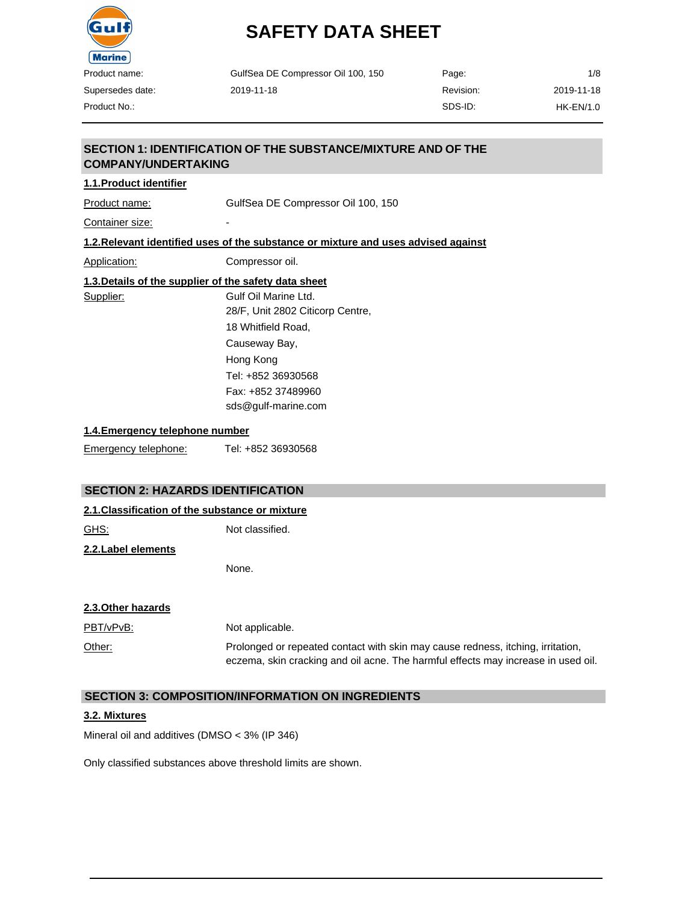

Product No.:

# **SAFETY DATA SHEET**

| GulfSea DE Compressor Oil 100, 150 | Page:     | 1/8         |
|------------------------------------|-----------|-------------|
| 2019-11-18                         | Revision: | 2019-11-18  |
|                                    | SDS-ID:   | $HK-EN/1.0$ |

# **SECTION 1: IDENTIFICATION OF THE SUBSTANCE/MIXTURE AND OF THE COMPANY/UNDERTAKING**

# **1.1.Product identifier**

Product name: GulfSea DE Compressor Oil 100, 150

Container size:

#### **1.2.Relevant identified uses of the substance or mixture and uses advised against**

Application: Compressor oil.

### **1.3.Details of the supplier of the safety data sheet**

Supplier: Gulf Oil Marine Ltd. 28/F, Unit 2802 Citicorp Centre, 18 Whitfield Road, Causeway Bay, Hong Kong Tel: +852 36930568 Fax: +852 37489960 [sds@gulf-marine.com](mailto:sds@gulf-marine.com)

#### **1.4.Emergency telephone number**

Emergency telephone: Tel: +852 36930568

#### **SECTION 2: HAZARDS IDENTIFICATION**

#### **2.1.Classification of the substance or mixture**

GHS: Not classified.

#### **2.2.Label elements**

None.

#### **2.3.Other hazards**

| PBT/vPvB: | Not applicable.                                                                                                                                                      |
|-----------|----------------------------------------------------------------------------------------------------------------------------------------------------------------------|
| Other:    | Prolonged or repeated contact with skin may cause redness, itching, irritation,<br>eczema, skin cracking and oil acne. The harmful effects may increase in used oil. |

### **SECTION 3: COMPOSITION/INFORMATION ON INGREDIENTS**

#### **3.2. Mixtures**

Mineral oil and additives (DMSO < 3% (IP 346)

Only classified substances above threshold limits are shown.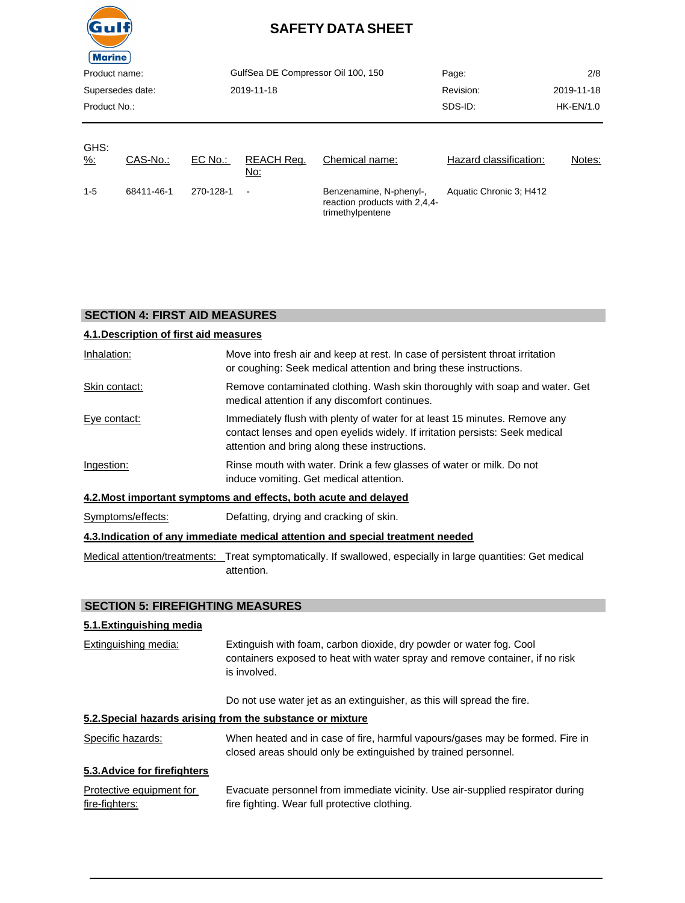

| ---------<br>Product name:<br>Supersedes date:<br>Product No.: |            |                | GulfSea DE Compressor Oil 100, 150<br>2019-11-18 |                                                                              | Page:<br>Revision:<br>SDS-ID: | 2/8<br>2019-11-18<br>HK-EN/1.0 |
|----------------------------------------------------------------|------------|----------------|--------------------------------------------------|------------------------------------------------------------------------------|-------------------------------|--------------------------------|
| GHS:<br><u>%:</u>                                              | CAS-No.:   | <u>EC No.:</u> | REACH Req.<br><u>No:</u>                         | Chemical name:                                                               | Hazard classification:        | Notes:                         |
| $1-5$                                                          | 68411-46-1 | 270-128-1      | L,                                               | Benzenamine, N-phenyl-,<br>reaction products with 2,4,4-<br>trimethylpentene | Aquatic Chronic 3; H412       |                                |

# **SECTION 4: FIRST AID MEASURES**

| 4.1. Description of first aid measures |                                                                                                                                                                                                             |
|----------------------------------------|-------------------------------------------------------------------------------------------------------------------------------------------------------------------------------------------------------------|
| Inhalation:                            | Move into fresh air and keep at rest. In case of persistent throat irritation<br>or coughing: Seek medical attention and bring these instructions.                                                          |
| Skin contact:                          | Remove contaminated clothing. Wash skin thoroughly with soap and water. Get<br>medical attention if any discomfort continues.                                                                               |
| Eye contact:                           | Immediately flush with plenty of water for at least 15 minutes. Remove any<br>contact lenses and open eyelids widely. If irritation persists: Seek medical<br>attention and bring along these instructions. |
| Ingestion:                             | Rinse mouth with water. Drink a few glasses of water or milk. Do not<br>induce vomiting. Get medical attention.                                                                                             |
|                                        | 4.2. Most important symptoms and effects, both acute and delayed                                                                                                                                            |
| Symptoms/effects:                      | Defatting, drying and cracking of skin.                                                                                                                                                                     |
|                                        | 4.3. Indication of any immediate medical attention and special treatment needed                                                                                                                             |
|                                        | Medical attention/treatments: Treat symptomatically. If swallowed, especially in large quantities: Get medical<br>attention.                                                                                |

#### **SECTION 5: FIREFIGHTING MEASURES**

# **5.1.Extinguishing media**

| <b>Extinguishing media:</b> | Extinguish with foam, carbon dioxide, dry powder or water fog. Cool          |
|-----------------------------|------------------------------------------------------------------------------|
|                             | containers exposed to heat with water spray and remove container, if no risk |
|                             | is involved.                                                                 |

Do not use water jet as an extinguisher, as this will spread the fire.

### **5.2.Special hazards arising from the substance or mixture**

| Specific hazards: | When heated and in case of fire, harmful vapours/gases may be formed. Fire in |
|-------------------|-------------------------------------------------------------------------------|
|                   | closed areas should only be extinguished by trained personnel.                |

### **5.3.Advice for firefighters**

| Protective equipment for | Evacuate personnel from immediate vicinity. Use air-supplied respirator during |
|--------------------------|--------------------------------------------------------------------------------|
| fire-fighters:           | fire fighting. Wear full protective clothing.                                  |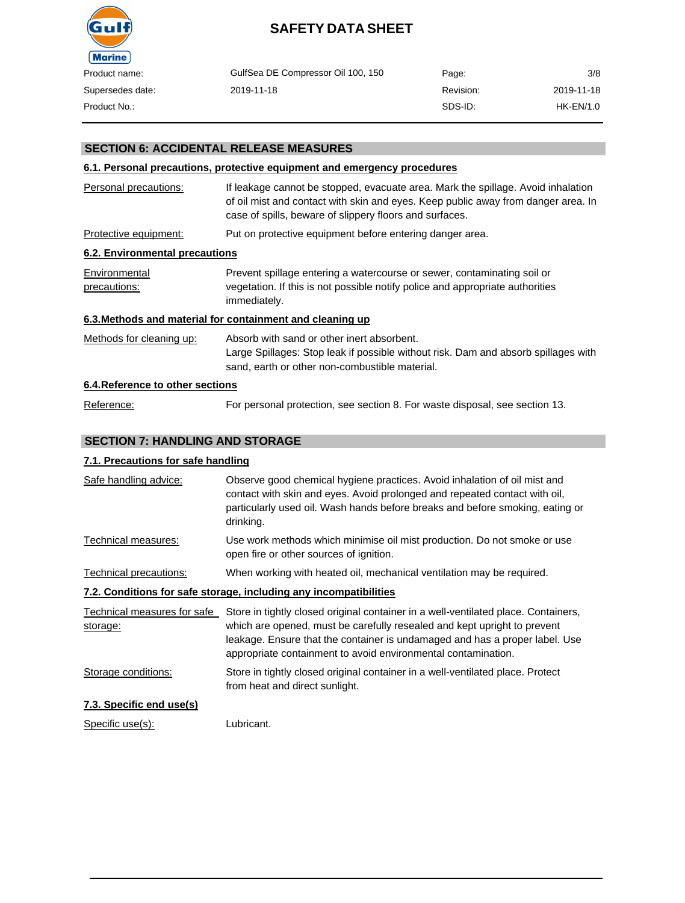

| Product name:    | GulfSea DE Compressor Oil 100, 150 | Page:     | 3/8         |
|------------------|------------------------------------|-----------|-------------|
| Supersedes date: | 2019-11-18                         | Revision: | 2019-11-18  |
| Product No.:     |                                    | SDS-ID:   | $HK-EN/1.0$ |

#### **SECTION 6: ACCIDENTAL RELEASE MEASURES**

#### **6.1. Personal precautions, protective equipment and emergency procedures**

| Personal precautions:            | If leakage cannot be stopped, evacuate area. Mark the spillage. Avoid inhalation<br>of oil mist and contact with skin and eyes. Keep public away from danger area. In<br>case of spills, beware of slippery floors and surfaces. |
|----------------------------------|----------------------------------------------------------------------------------------------------------------------------------------------------------------------------------------------------------------------------------|
| Protective equipment:            | Put on protective equipment before entering danger area.                                                                                                                                                                         |
| 6.2. Environmental precautions   |                                                                                                                                                                                                                                  |
| Environmental<br>precautions:    | Prevent spillage entering a watercourse or sewer, contaminating soil or<br>vegetation. If this is not possible notify police and appropriate authorities<br>immediately.                                                         |
|                                  | 6.3. Methods and material for containment and cleaning up                                                                                                                                                                        |
| Methods for cleaning up:         | Absorb with sand or other inert absorbent.<br>Large Spillages: Stop leak if possible without risk. Dam and absorb spillages with<br>sand, earth or other non-combustible material.                                               |
| 6.4. Reference to other sections |                                                                                                                                                                                                                                  |
| Reference:                       | For personal protection, see section 8. For waste disposal, see section 13.                                                                                                                                                      |

#### **SECTION 7: HANDLING AND STORAGE**

#### **7.1. Precautions for safe handling**

| Safe handling advice:                                             | Observe good chemical hygiene practices. Avoid inhalation of oil mist and<br>contact with skin and eyes. Avoid prolonged and repeated contact with oil,<br>particularly used oil. Wash hands before breaks and before smoking, eating or<br>drinking.                                                                                      |  |  |  |
|-------------------------------------------------------------------|--------------------------------------------------------------------------------------------------------------------------------------------------------------------------------------------------------------------------------------------------------------------------------------------------------------------------------------------|--|--|--|
| Technical measures:                                               | Use work methods which minimise oil mist production. Do not smoke or use<br>open fire or other sources of ignition.                                                                                                                                                                                                                        |  |  |  |
| Technical precautions:                                            | When working with heated oil, mechanical ventilation may be required.                                                                                                                                                                                                                                                                      |  |  |  |
| 7.2. Conditions for safe storage, including any incompatibilities |                                                                                                                                                                                                                                                                                                                                            |  |  |  |
| storage:                                                          | Technical measures for safe Store in tightly closed original container in a well-ventilated place. Containers,<br>which are opened, must be carefully resealed and kept upright to prevent<br>leakage. Ensure that the container is undamaged and has a proper label. Use<br>appropriate containment to avoid environmental contamination. |  |  |  |
| Storage conditions:                                               | Store in tightly closed original container in a well-ventilated place. Protect<br>from heat and direct sunlight.                                                                                                                                                                                                                           |  |  |  |
| 7.3. Specific end use(s)                                          |                                                                                                                                                                                                                                                                                                                                            |  |  |  |
| Specific use(s):                                                  | Lubricant.                                                                                                                                                                                                                                                                                                                                 |  |  |  |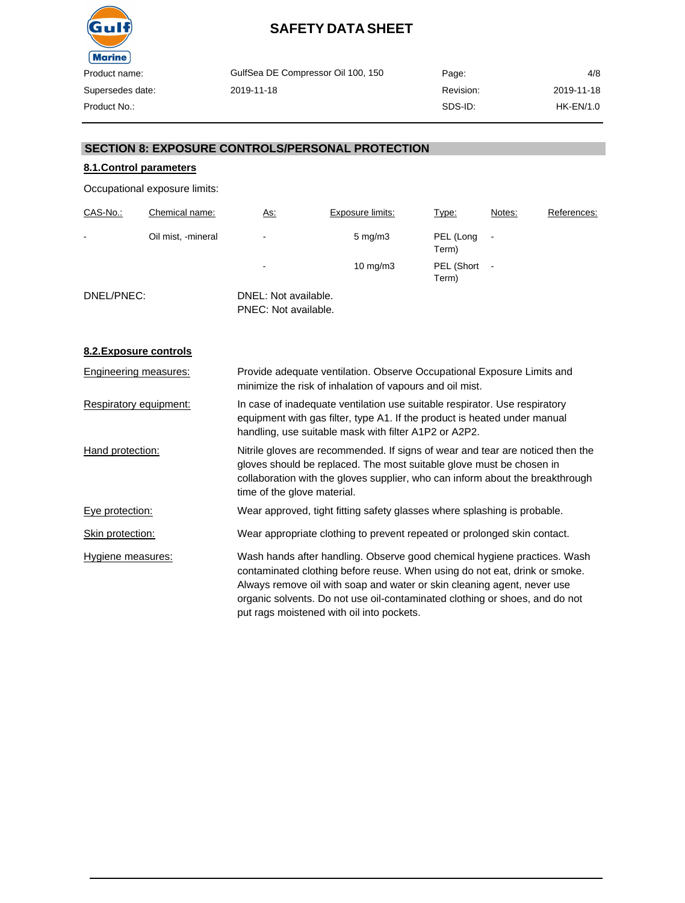

| GulfSea DE Compressor Oil 100, 150 | Page:     | 4/8        |
|------------------------------------|-----------|------------|
| 2019-11-18                         | Revision: | 2019-11-18 |
|                                    | SDS-ID:   | HK-EN/1.0  |

#### **SECTION 8: EXPOSURE CONTROLS/PERSONAL PROTECTION**

### **8.1.Control parameters**

Occupational exposure limits:

| CAS-No.:   | Chemical name:     | <u>As:</u>                                   | Exposure limits:   | Type:               | Notes: | References: |
|------------|--------------------|----------------------------------------------|--------------------|---------------------|--------|-------------|
| -          | Oil mist, -mineral | ٠                                            | $5 \text{ mg/m}$ 3 | PEL (Long<br>Term)  |        |             |
|            |                    | -                                            | $10 \text{ mg/m}$  | PEL (Short<br>Term) |        |             |
| DNEL/PNEC: |                    | DNEL: Not available.<br>PNEC: Not available. |                    |                     |        |             |

**8.2.Exposure controls**

| Engineering measures:  | Provide adequate ventilation. Observe Occupational Exposure Limits and<br>minimize the risk of inhalation of vapours and oil mist.                                                                                                                                                                                                                            |
|------------------------|---------------------------------------------------------------------------------------------------------------------------------------------------------------------------------------------------------------------------------------------------------------------------------------------------------------------------------------------------------------|
| Respiratory equipment: | In case of inadequate ventilation use suitable respirator. Use respiratory<br>equipment with gas filter, type A1. If the product is heated under manual<br>handling, use suitable mask with filter A1P2 or A2P2.                                                                                                                                              |
| Hand protection:       | Nitrile gloves are recommended. If signs of wear and tear are noticed then the<br>gloves should be replaced. The most suitable glove must be chosen in<br>collaboration with the gloves supplier, who can inform about the breakthrough<br>time of the glove material.                                                                                        |
| Eye protection:        | Wear approved, tight fitting safety glasses where splashing is probable.                                                                                                                                                                                                                                                                                      |
| Skin protection:       | Wear appropriate clothing to prevent repeated or prolonged skin contact.                                                                                                                                                                                                                                                                                      |
| Hygiene measures:      | Wash hands after handling. Observe good chemical hygiene practices. Wash<br>contaminated clothing before reuse. When using do not eat, drink or smoke.<br>Always remove oil with soap and water or skin cleaning agent, never use<br>organic solvents. Do not use oil-contaminated clothing or shoes, and do not<br>put rags moistened with oil into pockets. |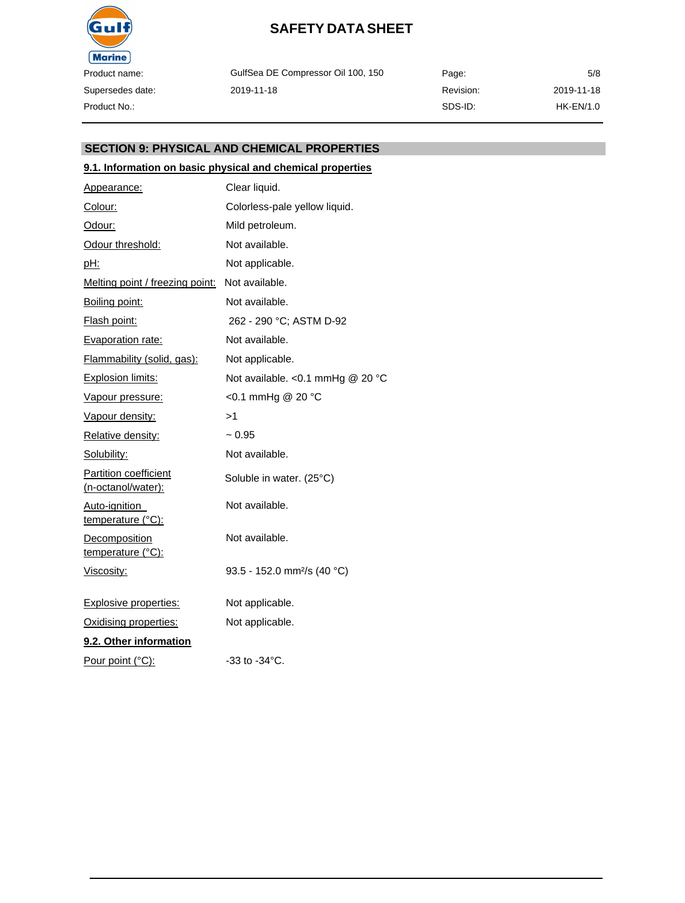

GulfSea DE Compressor Oil 100, 150 2019-11-18

Page: Revision: SDS-ID: 5/8 2019-11-18 HK-EN/1.0

#### **SECTION 9: PHYSICAL AND CHEMICAL PROPERTIES**

#### **9.1. Information on basic physical and chemical properties**

| Appearance:                                        | Clear liquid.                           |  |
|----------------------------------------------------|-----------------------------------------|--|
| Colour:                                            | Colorless-pale yellow liquid.           |  |
| Odour:                                             | Mild petroleum.                         |  |
| Odour threshold:                                   | Not available.                          |  |
| pH:                                                | Not applicable.                         |  |
| Melting point / freezing point:                    | Not available.                          |  |
| Boiling point:                                     | Not available.                          |  |
| <b>Flash point:</b>                                | 262 - 290 °C; ASTM D-92                 |  |
| Evaporation rate:                                  | Not available.                          |  |
| Flammability (solid, gas):                         | Not applicable.                         |  |
| <b>Explosion limits:</b>                           | Not available. < 0.1 mmHg @ 20 °C       |  |
| Vapour pressure:                                   | <0.1 mmHg @ 20 °C                       |  |
| Vapour density:                                    | >1                                      |  |
| Relative density:                                  | $~1$ 0.95                               |  |
| Solubility:                                        | Not available.                          |  |
| <b>Partition coefficient</b><br>(n-octanol/water): | Soluble in water. (25°C)                |  |
| Auto-ignition<br>temperature (°C):                 | Not available.                          |  |
| <b>Decomposition</b><br>temperature (°C):          | Not available.                          |  |
| Viscosity:                                         | 93.5 - 152.0 mm <sup>2</sup> /s (40 °C) |  |
| <b>Explosive properties:</b>                       | Not applicable.                         |  |
| Oxidising properties:                              | Not applicable.                         |  |
| 9.2. Other information                             |                                         |  |
| Pour point (°C):                                   | $-33$ to $-34^{\circ}$ C.               |  |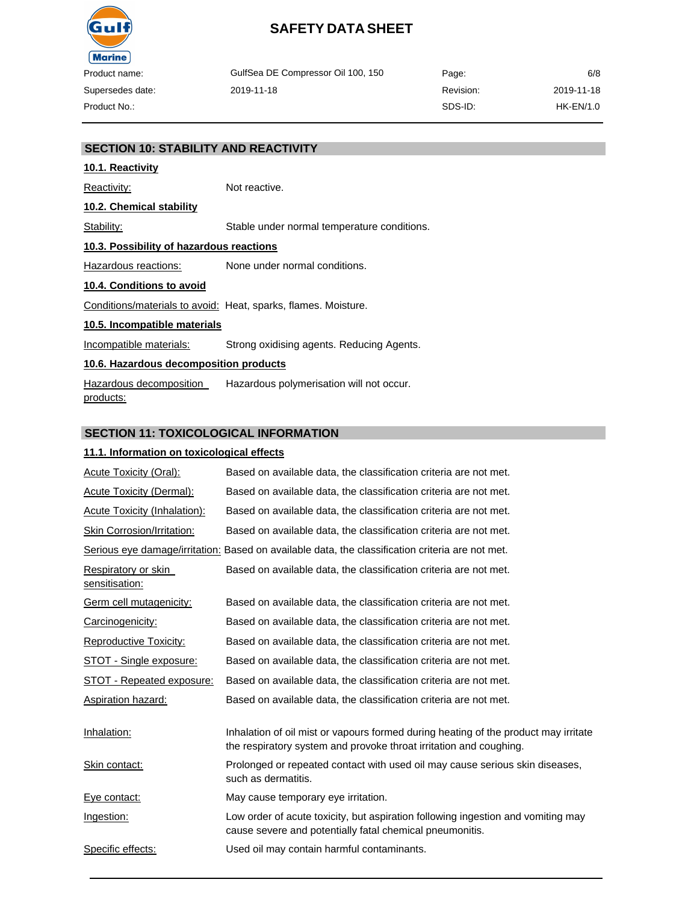

GulfSea DE Compressor Oil 100, 150 2019-11-18 Page: Revision: SDS-ID:

6/8 2019-11-18 HK-EN/1.0

#### **SECTION 10: STABILITY AND REACTIVITY**

# **10.1. Reactivity**

Reactivity: Not reactive. **10.2. Chemical stability** Stability: Stable under normal temperature conditions. **10.3. Possibility of hazardous reactions** Hazardous reactions: None under normal conditions. **10.4. Conditions to avoid** Conditions/materials to avoid: Heat, sparks, flames. Moisture. **10.5. Incompatible materials** Incompatible materials: Strong oxidising agents. Reducing Agents.

### **10.6. Hazardous decomposition products**

Hazardous decomposition products: Hazardous polymerisation will not occur.

#### **SECTION 11: TOXICOLOGICAL INFORMATION**

#### **11.1. Information on toxicological effects**

| Acute Toxicity (Oral):                                                                           | Based on available data, the classification criteria are not met.                                                                                         |  |  |
|--------------------------------------------------------------------------------------------------|-----------------------------------------------------------------------------------------------------------------------------------------------------------|--|--|
| <b>Acute Toxicity (Dermal):</b>                                                                  | Based on available data, the classification criteria are not met.                                                                                         |  |  |
| Acute Toxicity (Inhalation):                                                                     | Based on available data, the classification criteria are not met.                                                                                         |  |  |
| Skin Corrosion/Irritation:                                                                       | Based on available data, the classification criteria are not met.                                                                                         |  |  |
| Serious eye damage/irritation: Based on available data, the classification criteria are not met. |                                                                                                                                                           |  |  |
| Respiratory or skin<br>sensitisation:                                                            | Based on available data, the classification criteria are not met.                                                                                         |  |  |
| Germ cell mutagenicity:                                                                          | Based on available data, the classification criteria are not met.                                                                                         |  |  |
| Carcinogenicity:                                                                                 | Based on available data, the classification criteria are not met.                                                                                         |  |  |
| <b>Reproductive Toxicity:</b>                                                                    | Based on available data, the classification criteria are not met.                                                                                         |  |  |
| STOT - Single exposure:                                                                          | Based on available data, the classification criteria are not met.                                                                                         |  |  |
| <b>STOT - Repeated exposure:</b>                                                                 | Based on available data, the classification criteria are not met.                                                                                         |  |  |
| <b>Aspiration hazard:</b>                                                                        | Based on available data, the classification criteria are not met.                                                                                         |  |  |
| Inhalation:                                                                                      | Inhalation of oil mist or vapours formed during heating of the product may irritate<br>the respiratory system and provoke throat irritation and coughing. |  |  |
| Skin contact:                                                                                    | Prolonged or repeated contact with used oil may cause serious skin diseases,<br>such as dermatitis.                                                       |  |  |
| Eye contact:                                                                                     | May cause temporary eye irritation.                                                                                                                       |  |  |
| Ingestion:                                                                                       | Low order of acute toxicity, but aspiration following ingestion and vomiting may<br>cause severe and potentially fatal chemical pneumonitis.              |  |  |
| Specific effects:                                                                                | Used oil may contain harmful contaminants.                                                                                                                |  |  |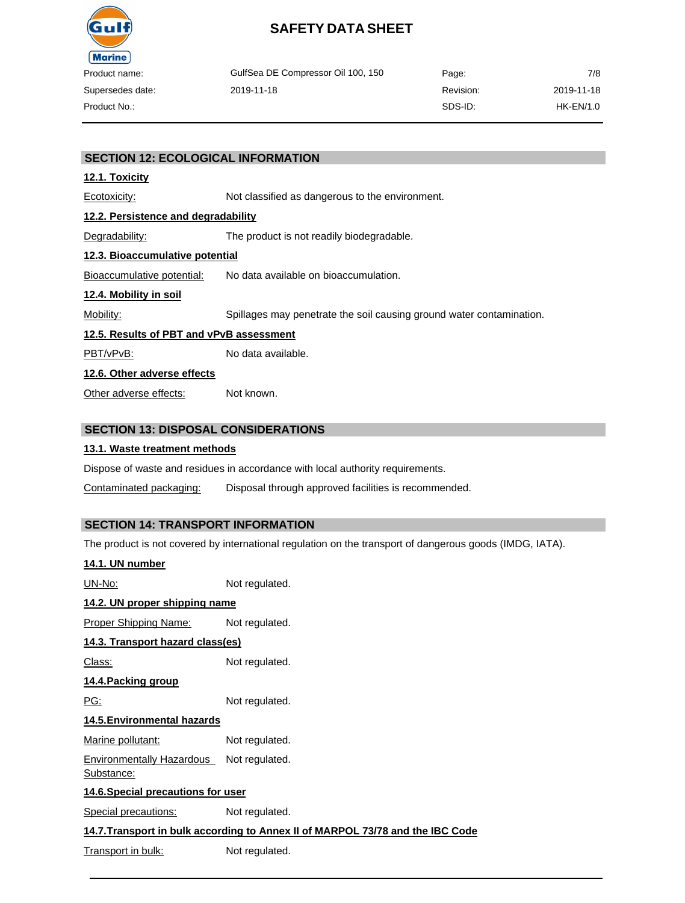

| duct name:    | GulfSea DE Compressor Oil 100, 150 | Page:     | 7/8        |
|---------------|------------------------------------|-----------|------------|
| ersedes date: | 2019-11-18                         | Revision: | 2019-11-18 |
| duct No.∶     |                                    | SDS-ID:   | HK-EN/1.0  |

#### **SECTION 12: ECOLOGICAL INFORMATION**

#### **12.1. Toxicity**

Ecotoxicity: Not classified as dangerous to the environment.

#### **12.2. Persistence and degradability**

Degradability: The product is not readily biodegradable.

### **12.3. Bioaccumulative potential**

Bioaccumulative potential: No data available on bioaccumulation.

#### **12.4. Mobility in soil**

Mobility: Spillages may penetrate the soil causing ground water contamination.

#### **12.5. Results of PBT and vPvB assessment**

PBT/vPvB: No data available.

#### **12.6. Other adverse effects**

Other adverse effects: Not known.

#### **SECTION 13: DISPOSAL CONSIDERATIONS**

#### **13.1. Waste treatment methods**

Dispose of waste and residues in accordance with local authority requirements.

Contaminated packaging: Disposal through approved facilities is recommended.

# **SECTION 14: TRANSPORT INFORMATION**

The product is not covered by international regulation on the transport of dangerous goods (IMDG, IATA).

| <u>14.1. UN number</u>                                                         |                |  |  |  |
|--------------------------------------------------------------------------------|----------------|--|--|--|
| <u> UN-No:</u>                                                                 | Not regulated. |  |  |  |
| 14.2. UN proper shipping name                                                  |                |  |  |  |
| Proper Shipping Name:                                                          | Not regulated. |  |  |  |
| 14.3. Transport hazard class(es)                                               |                |  |  |  |
| <u> Class:</u>                                                                 | Not regulated. |  |  |  |
| 14.4. Packing group                                                            |                |  |  |  |
| PG:                                                                            | Not regulated. |  |  |  |
| 14.5. Environmental hazards                                                    |                |  |  |  |
| Marine pollutant:                                                              | Not regulated. |  |  |  |
| <b>Environmentally Hazardous</b><br><u>Substance:</u>                          | Not regulated. |  |  |  |
| 14.6. Special precautions for user                                             |                |  |  |  |
| Special precautions:                                                           | Not regulated. |  |  |  |
| 14.7. Transport in bulk according to Annex II of MARPOL 73/78 and the IBC Code |                |  |  |  |
| Transport in bulk:                                                             | Not regulated. |  |  |  |